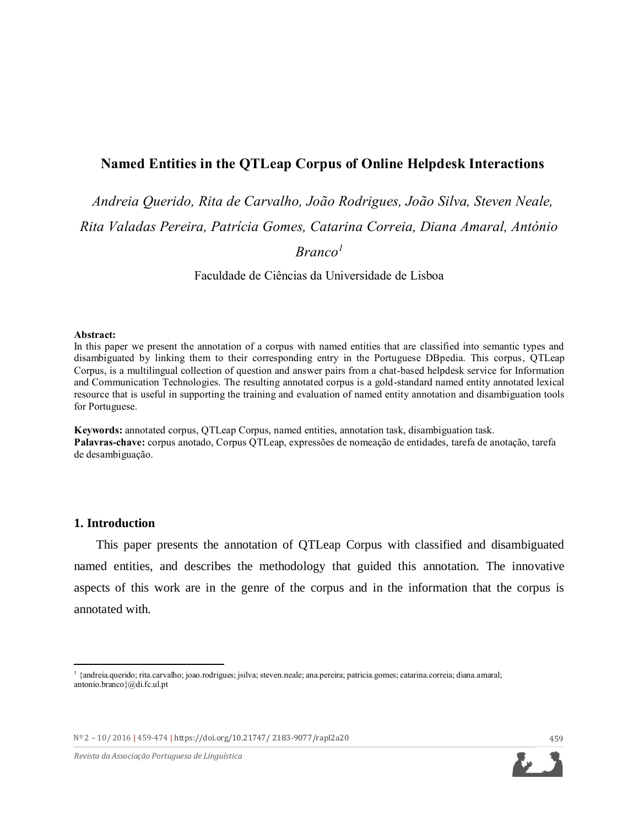# **Named Entities in the QTLeap Corpus of Online Helpdesk Interactions**

*Andreia Querido, Rita de Carvalho, João Rodrigues, João Silva, Steven Neale, Rita Valadas Pereira, Patrícia Gomes, Catarina Correia, Diana Amaral, António* 

*Branco<sup>1</sup>*

Faculdade de Ciências da Universidade de Lisboa

#### **Abstract:**

In this paper we present the annotation of a corpus with named entities that are classified into semantic types and disambiguated by linking them to their corresponding entry in the Portuguese DBpedia. This corpus, QTLeap Corpus, is a multilingual collection of question and answer pairs from a chat-based helpdesk service for Information and Communication Technologies. The resulting annotated corpus is a gold-standard named entity annotated lexical resource that is useful in supporting the training and evaluation of named entity annotation and disambiguation tools for Portuguese.

**Keywords:** annotated corpus, QTLeap Corpus, named entities, annotation task, disambiguation task. **Palavras-chave:** corpus anotado, Corpus QTLeap, expressões de nomeação de entidades, tarefa de anotação, tarefa de desambiguação.

### **1. Introduction**

 $\overline{a}$ 

This paper presents the annotation of QTLeap Corpus with classified and disambiguated named entities, and describes the methodology that guided this annotation. The innovative aspects of this work are in the genre of the corpus and in the information that the corpus is annotated with.

Nº 2 – 10/ 2016 **|** 459-474 **|** [https://doi.org/10.21747/ 2183-9077/rapl2](https://doi.org/10.21747/%202183-9077/rapl)a20 459

*Revista da Associação Portuguesa de Linguística*



<sup>1</sup> {andreia.querido; rita.carvalho; joao.rodrigues; jsilva; steven.neale; ana.pereira; patricia.gomes; catarina.correia; diana.amaral; antonio.branco}@di.fc.ul.pt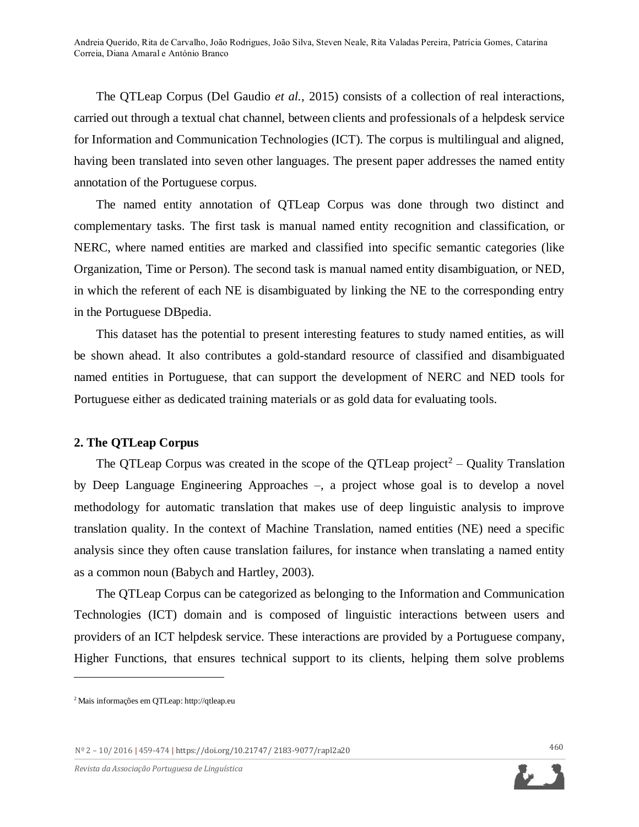The QTLeap Corpus (Del Gaudio *et al.*, 2015) consists of a collection of real interactions, carried out through a textual chat channel, between clients and professionals of a helpdesk service for Information and Communication Technologies (ICT). The corpus is multilingual and aligned, having been translated into seven other languages. The present paper addresses the named entity annotation of the Portuguese corpus.

The named entity annotation of QTLeap Corpus was done through two distinct and complementary tasks. The first task is manual named entity recognition and classification, or NERC, where named entities are marked and classified into specific semantic categories (like Organization, Time or Person). The second task is manual named entity disambiguation, or NED, in which the referent of each NE is disambiguated by linking the NE to the corresponding entry in the Portuguese DBpedia.

This dataset has the potential to present interesting features to study named entities, as will be shown ahead. It also contributes a gold-standard resource of classified and disambiguated named entities in Portuguese, that can support the development of NERC and NED tools for Portuguese either as dedicated training materials or as gold data for evaluating tools.

### **2. The QTLeap Corpus**

The QTLeap Corpus was created in the scope of the QTLeap project<sup>2</sup> – Quality Translation by Deep Language Engineering Approaches –, a project whose goal is to develop a novel methodology for automatic translation that makes use of deep linguistic analysis to improve translation quality. In the context of Machine Translation, named entities (NE) need a specific analysis since they often cause translation failures, for instance when translating a named entity as a common noun (Babych and Hartley, 2003).

The QTLeap Corpus can be categorized as belonging to the Information and Communication Technologies (ICT) domain and is composed of linguistic interactions between users and providers of an ICT helpdesk service. These interactions are provided by a Portuguese company, Higher Functions, that ensures technical support to its clients, helping them solve problems

 $\overline{a}$ 



<sup>2</sup> Mais informações em QTLeap: http://qtleap.eu

Nº 2 – 10/ 2016 **|** 459-474 **|** [https://doi.org/10.21747/ 2183-9077/rapl2](https://doi.org/10.21747/%202183-9077/rapl)a20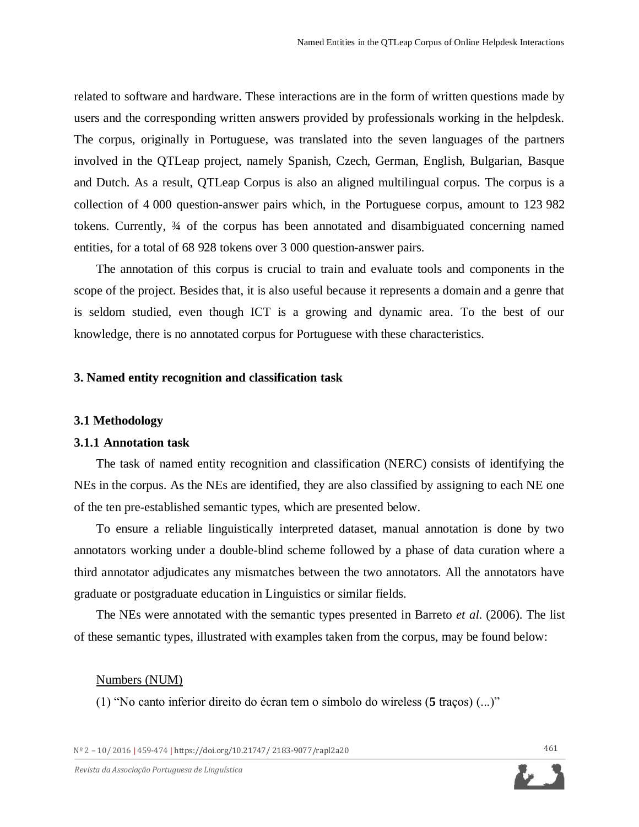related to software and hardware. These interactions are in the form of written questions made by users and the corresponding written answers provided by professionals working in the helpdesk. The corpus, originally in Portuguese, was translated into the seven languages of the partners involved in the QTLeap project, namely Spanish, Czech, German, English, Bulgarian, Basque and Dutch. As a result, QTLeap Corpus is also an aligned multilingual corpus. The corpus is a collection of 4 000 question-answer pairs which, in the Portuguese corpus, amount to 123 982 tokens. Currently, ¾ of the corpus has been annotated and disambiguated concerning named entities, for a total of 68 928 tokens over 3 000 question-answer pairs.

The annotation of this corpus is crucial to train and evaluate tools and components in the scope of the project. Besides that, it is also useful because it represents a domain and a genre that is seldom studied, even though ICT is a growing and dynamic area. To the best of our knowledge, there is no annotated corpus for Portuguese with these characteristics.

#### **3. Named entity recognition and classification task**

### **3.1 Methodology**

### **3.1.1 Annotation task**

The task of named entity recognition and classification (NERC) consists of identifying the NEs in the corpus. As the NEs are identified, they are also classified by assigning to each NE one of the ten pre-established semantic types, which are presented below.

To ensure a reliable linguistically interpreted dataset, manual annotation is done by two annotators working under a double-blind scheme followed by a phase of data curation where a third annotator adjudicates any mismatches between the two annotators. All the annotators have graduate or postgraduate education in Linguistics or similar fields.

The NEs were annotated with the semantic types presented in Barreto *et al*. (2006). The list of these semantic types, illustrated with examples taken from the corpus, may be found below:

#### Numbers (NUM)

(1) "No canto inferior direito do écran tem o símbolo do wireless (**5** traços) (...)"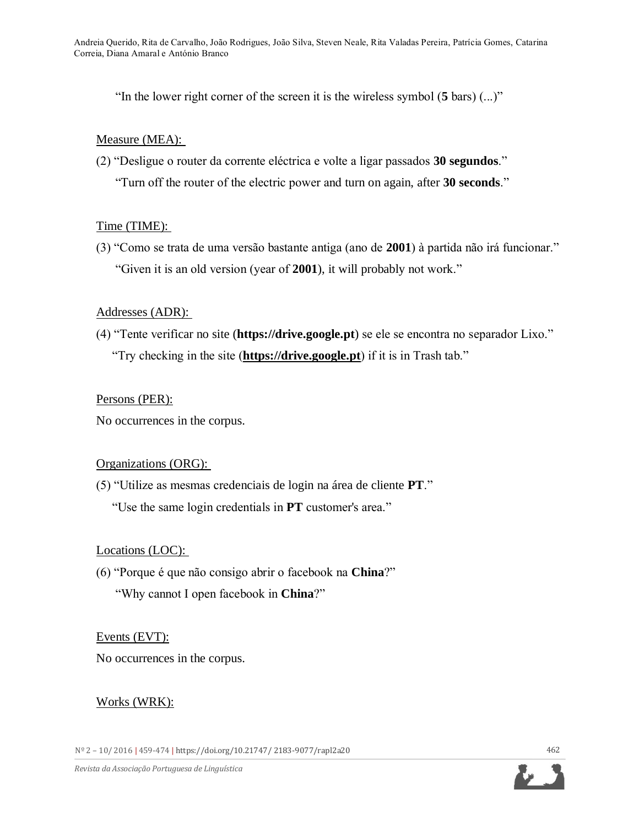"In the lower right corner of the screen it is the wireless symbol (**5** bars) (...)"

## Measure (MEA):

(2) "Desligue o router da corrente eléctrica e volte a ligar passados **30 segundos**." "Turn off the router of the electric power and turn on again, after **30 seconds**."

## Time (TIME):

(3) "Como se trata de uma versão bastante antiga (ano de **2001**) à partida não irá funcionar." "Given it is an old version (year of **2001**), it will probably not work."

# Addresses (ADR):

(4) "Tente verificar no site (**https://drive.google.pt**) se ele se encontra no separador Lixo." "Try checking in the site (**https://drive.google.pt**) if it is in Trash tab."

## Persons (PER):

No occurrences in the corpus.

## Organizations (ORG):

(5) "Utilize as mesmas credenciais de login na área de cliente **PT**." "Use the same login credentials in **PT** customer's area."

# Locations (LOC):

(6) "Porque é que não consigo abrir o facebook na **China**?" "Why cannot I open facebook in **China**?"

## Events (EVT):

No occurrences in the corpus.

# Works (WRK):

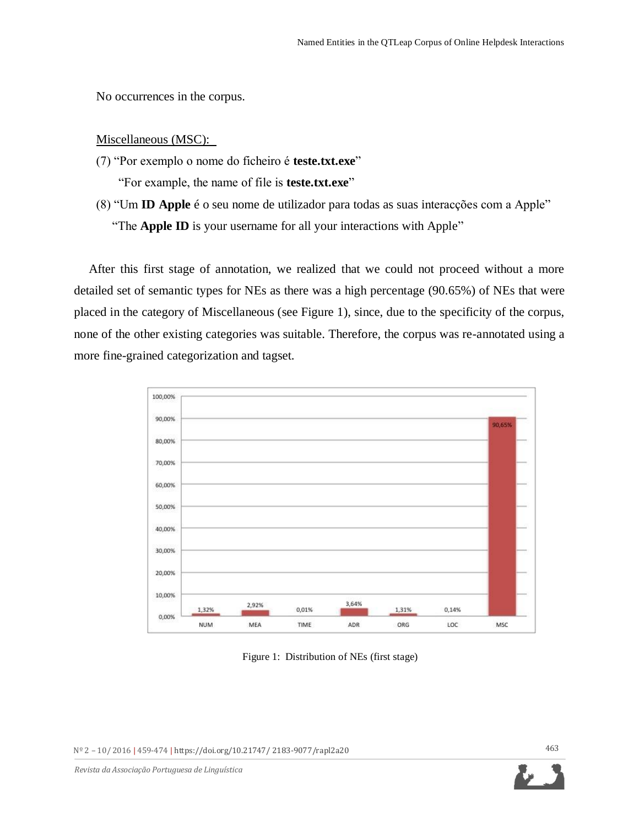No occurrences in the corpus.

### Miscellaneous (MSC):

(7) "Por exemplo o nome do ficheiro é **teste.txt.exe**"

"For example, the name of file is **teste.txt.exe**"

(8) "Um **ID Apple** é o seu nome de utilizador para todas as suas interacções com a Apple" "The **Apple ID** is your username for all your interactions with Apple"

After this first stage of annotation, we realized that we could not proceed without a more detailed set of semantic types for NEs as there was a high percentage (90.65%) of NEs that were placed in the category of Miscellaneous (see Figure 1), since, due to the specificity of the corpus, none of the other existing categories was suitable. Therefore, the corpus was re-annotated using a more fine-grained categorization and tagset.



Figure 1: Distribution of NEs (first stage)

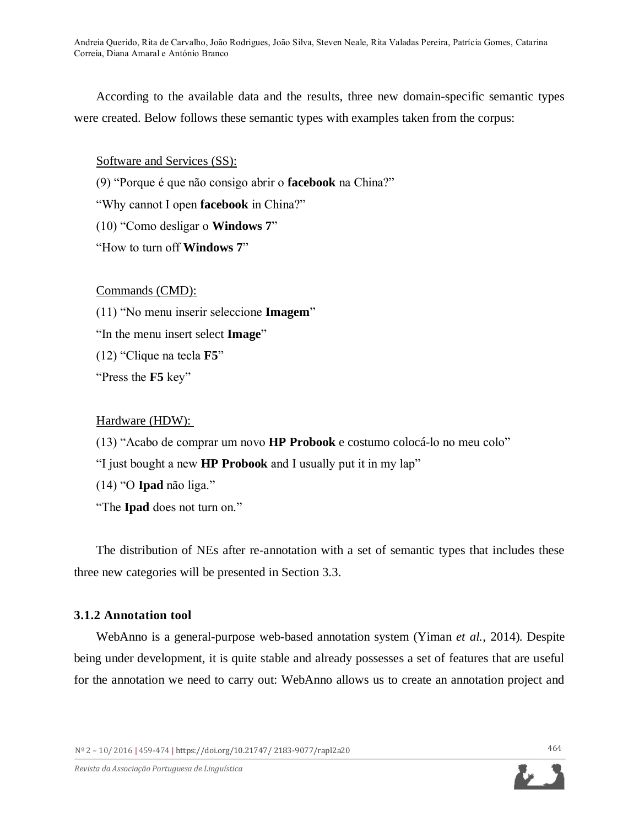According to the available data and the results, three new domain-specific semantic types were created. Below follows these semantic types with examples taken from the corpus:

Software and Services (SS):

(9) "Porque é que não consigo abrir o **facebook** na China?"

"Why cannot I open **facebook** in China?"

(10) "Como desligar o **Windows 7**"

"How to turn off **Windows 7**"

Commands (CMD):

(11) "No menu inserir seleccione **Imagem**"

"In the menu insert select **Image**"

(12) "Clique na tecla **F5**"

"Press the **F5** key"

## Hardware (HDW):

(13) "Acabo de comprar um novo **HP Probook** e costumo colocá-lo no meu colo"

"I just bought a new **HP Probook** and I usually put it in my lap"

(14) "O **Ipad** não liga."

"The **Ipad** does not turn on."

The distribution of NEs after re-annotation with a set of semantic types that includes these three new categories will be presented in Section 3.3.

# **3.1.2 Annotation tool**

WebAnno is a general-purpose web-based annotation system (Yiman *et al.*, 2014). Despite being under development, it is quite stable and already possesses a set of features that are useful for the annotation we need to carry out: WebAnno allows us to create an annotation project and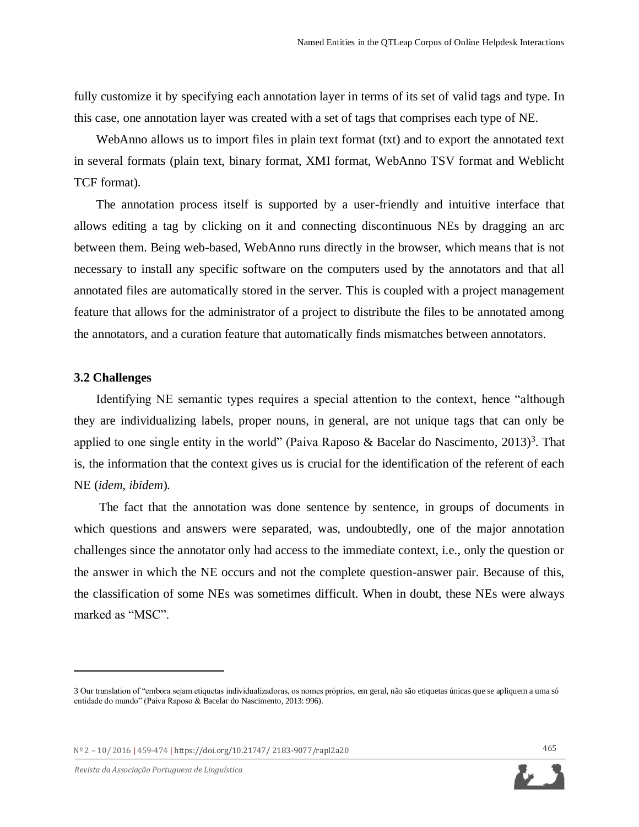fully customize it by specifying each annotation layer in terms of its set of valid tags and type. In this case, one annotation layer was created with a set of tags that comprises each type of NE.

WebAnno allows us to import files in plain text format (txt) and to export the annotated text in several formats (plain text, binary format, XMI format, WebAnno TSV format and Weblicht TCF format).

The annotation process itself is supported by a user-friendly and intuitive interface that allows editing a tag by clicking on it and connecting discontinuous NEs by dragging an arc between them. Being web-based, WebAnno runs directly in the browser, which means that is not necessary to install any specific software on the computers used by the annotators and that all annotated files are automatically stored in the server. This is coupled with a project management feature that allows for the administrator of a project to distribute the files to be annotated among the annotators, and a curation feature that automatically finds mismatches between annotators.

### **3.2 Challenges**

 $\overline{a}$ 

Identifying NE semantic types requires a special attention to the context, hence "although they are individualizing labels, proper nouns, in general, are not unique tags that can only be applied to one single entity in the world" (Paiva Raposo & Bacelar do Nascimento, 2013)<sup>3</sup>. That is, the information that the context gives us is crucial for the identification of the referent of each NE (*idem, ibidem*).

The fact that the annotation was done sentence by sentence, in groups of documents in which questions and answers were separated, was, undoubtedly, one of the major annotation challenges since the annotator only had access to the immediate context, i.e., only the question or the answer in which the NE occurs and not the complete question-answer pair. Because of this, the classification of some NEs was sometimes difficult. When in doubt, these NEs were always marked as "MSC".

<sup>3</sup> Our translation of "embora sejam etiquetas individualizadoras, os nomes próprios, em geral, não são etiquetas únicas que se apliquem a uma só entidade do mundo" (Paiva Raposo & Bacelar do Nascimento, 2013: 996).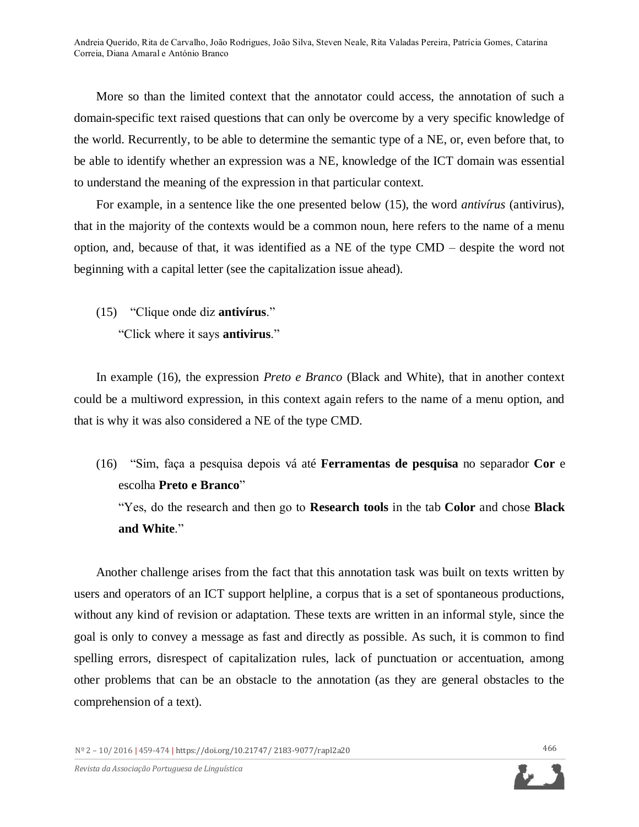More so than the limited context that the annotator could access, the annotation of such a domain-specific text raised questions that can only be overcome by a very specific knowledge of the world. Recurrently, to be able to determine the semantic type of a NE, or, even before that, to be able to identify whether an expression was a NE, knowledge of the ICT domain was essential to understand the meaning of the expression in that particular context.

For example, in a sentence like the one presented below (15), the word *antivírus* (antivirus), that in the majority of the contexts would be a common noun, here refers to the name of a menu option, and, because of that, it was identified as a NE of the type CMD – despite the word not beginning with a capital letter (see the capitalization issue ahead).

(15) "Clique onde diz **antivírus**."

"Click where it says **antivirus**."

In example (16), the expression *Preto e Branco* (Black and White), that in another context could be a multiword expression, in this context again refers to the name of a menu option, and that is why it was also considered a NE of the type CMD.

(16) "Sim, faça a pesquisa depois vá até **Ferramentas de pesquisa** no separador **Cor** e escolha **Preto e Branco**"

"Yes, do the research and then go to **Research tools** in the tab **Color** and chose **Black and White**."

Another challenge arises from the fact that this annotation task was built on texts written by users and operators of an ICT support helpline, a corpus that is a set of spontaneous productions, without any kind of revision or adaptation. These texts are written in an informal style, since the goal is only to convey a message as fast and directly as possible. As such, it is common to find spelling errors, disrespect of capitalization rules, lack of punctuation or accentuation, among other problems that can be an obstacle to the annotation (as they are general obstacles to the comprehension of a text).

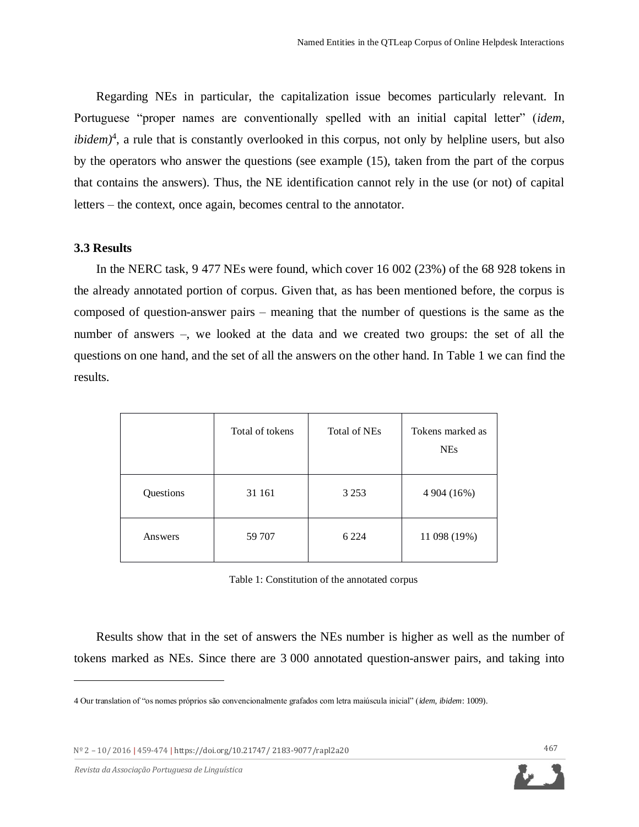Regarding NEs in particular, the capitalization issue becomes particularly relevant. In Portuguese "proper names are conventionally spelled with an initial capital letter" (*idem, ibidem*<sup>4</sup>, a rule that is constantly overlooked in this corpus, not only by helpline users, but also by the operators who answer the questions (see example (15), taken from the part of the corpus that contains the answers). Thus, the NE identification cannot rely in the use (or not) of capital letters – the context, once again, becomes central to the annotator.

### **3.3 Results**

In the NERC task, 9 477 NEs were found, which cover 16 002 (23%) of the 68 928 tokens in the already annotated portion of corpus. Given that, as has been mentioned before, the corpus is composed of question-answer pairs – meaning that the number of questions is the same as the number of answers –, we looked at the data and we created two groups: the set of all the questions on one hand, and the set of all the answers on the other hand. In Table 1 we can find the results.

|           | Total of tokens | Total of NEs | Tokens marked as<br><b>NEs</b> |
|-----------|-----------------|--------------|--------------------------------|
| Questions | 31 161          | 3 2 5 3      | 4 904 (16%)                    |
| Answers   | 59 707          | 6 2 2 4      | 11 098 (19%)                   |

Table 1: Constitution of the annotated corpus

Results show that in the set of answers the NEs number is higher as well as the number of tokens marked as NEs. Since there are 3 000 annotated question-answer pairs, and taking into

Nº 2 – 10/ 2016 **|** 459-474 **|** [https://doi.org/10.21747/ 2183-9077/rapl2](https://doi.org/10.21747/%202183-9077/rapl)a20

<sup>4</sup> Our translation of "os nomes próprios são convencionalmente grafados com letra maiúscula inicial" (*idem, ibidem*: 1009).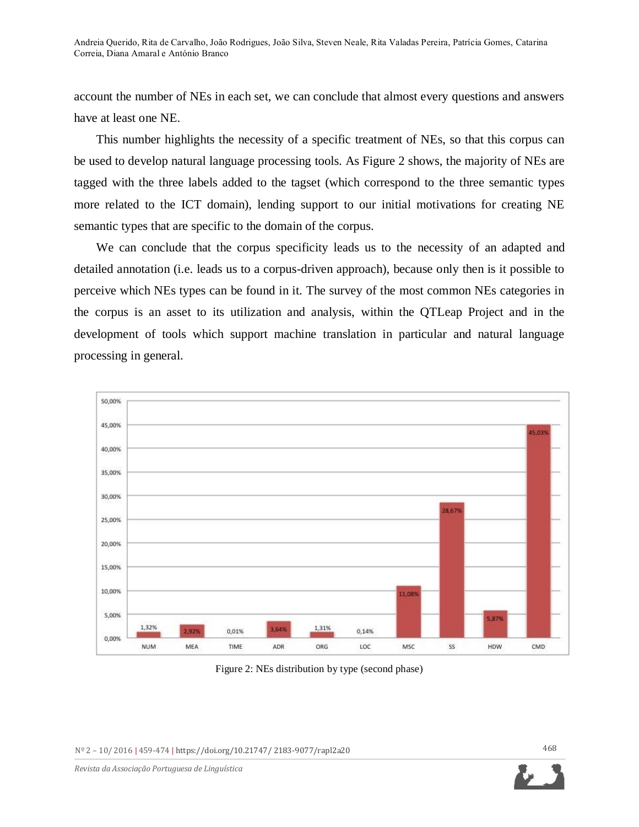account the number of NEs in each set, we can conclude that almost every questions and answers have at least one NE.

This number highlights the necessity of a specific treatment of NEs, so that this corpus can be used to develop natural language processing tools. As Figure 2 shows, the majority of NEs are tagged with the three labels added to the tagset (which correspond to the three semantic types more related to the ICT domain), lending support to our initial motivations for creating NE semantic types that are specific to the domain of the corpus.

We can conclude that the corpus specificity leads us to the necessity of an adapted and detailed annotation (i.e. leads us to a corpus-driven approach), because only then is it possible to perceive which NEs types can be found in it. The survey of the most common NEs categories in the corpus is an asset to its utilization and analysis, within the QTLeap Project and in the development of tools which support machine translation in particular and natural language processing in general.



Figure 2: NEs distribution by type (second phase)

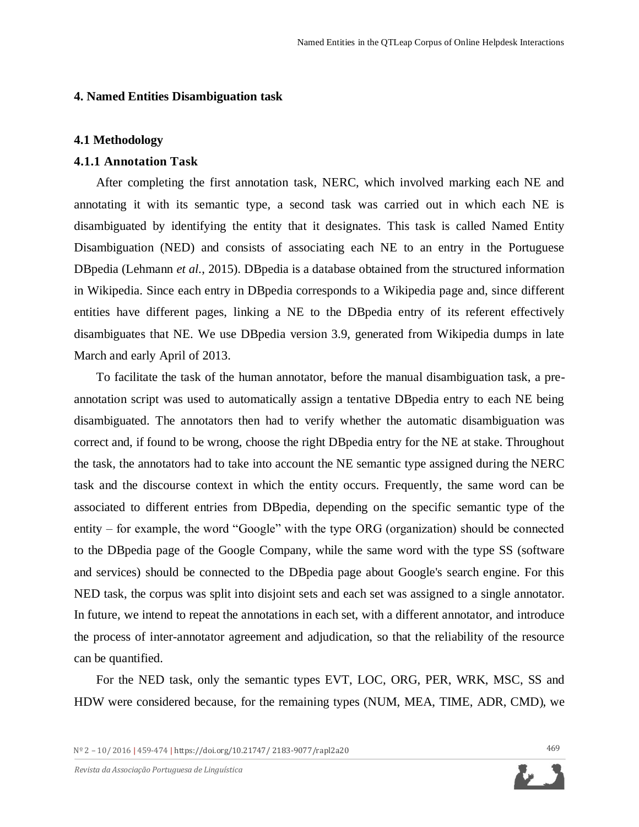## **4. Named Entities Disambiguation task**

### **4.1 Methodology**

## **4.1.1 Annotation Task**

After completing the first annotation task, NERC, which involved marking each NE and annotating it with its semantic type, a second task was carried out in which each NE is disambiguated by identifying the entity that it designates. This task is called Named Entity Disambiguation (NED) and consists of associating each NE to an entry in the Portuguese DBpedia (Lehmann *et al*., 2015). DBpedia is a database obtained from the structured information in Wikipedia. Since each entry in DBpedia corresponds to a Wikipedia page and, since different entities have different pages, linking a NE to the DBpedia entry of its referent effectively disambiguates that NE. We use DBpedia version 3.9, generated from Wikipedia dumps in late March and early April of 2013.

To facilitate the task of the human annotator, before the manual disambiguation task, a preannotation script was used to automatically assign a tentative DBpedia entry to each NE being disambiguated. The annotators then had to verify whether the automatic disambiguation was correct and, if found to be wrong, choose the right DBpedia entry for the NE at stake. Throughout the task, the annotators had to take into account the NE semantic type assigned during the NERC task and the discourse context in which the entity occurs. Frequently, the same word can be associated to different entries from DBpedia, depending on the specific semantic type of the entity – for example, the word "Google" with the type ORG (organization) should be connected to the DBpedia page of the Google Company, while the same word with the type SS (software and services) should be connected to the DBpedia page about Google's search engine. For this NED task, the corpus was split into disjoint sets and each set was assigned to a single annotator. In future, we intend to repeat the annotations in each set, with a different annotator, and introduce the process of inter-annotator agreement and adjudication, so that the reliability of the resource can be quantified.

For the NED task, only the semantic types EVT, LOC, ORG, PER, WRK, MSC, SS and HDW were considered because, for the remaining types (NUM, MEA, TIME, ADR, CMD), we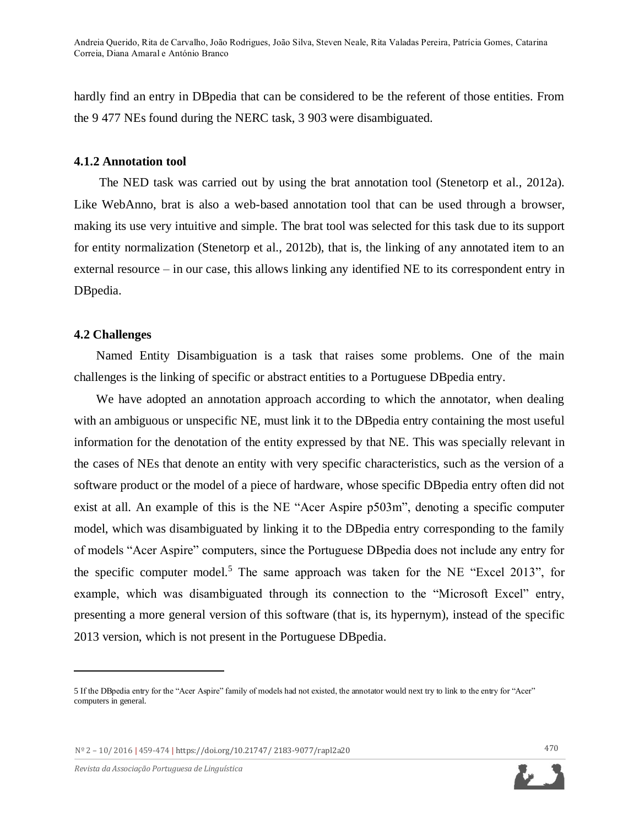hardly find an entry in DBpedia that can be considered to be the referent of those entities. From the 9 477 NEs found during the NERC task, 3 903 were disambiguated.

## **4.1.2 Annotation tool**

The NED task was carried out by using the brat annotation tool (Stenetorp et al., 2012a). Like WebAnno, brat is also a web-based annotation tool that can be used through a browser, making its use very intuitive and simple. The brat tool was selected for this task due to its support for entity normalization (Stenetorp et al., 2012b), that is, the linking of any annotated item to an external resource – in our case, this allows linking any identified NE to its correspondent entry in DBpedia.

## **4.2 Challenges**

Named Entity Disambiguation is a task that raises some problems. One of the main challenges is the linking of specific or abstract entities to a Portuguese DBpedia entry.

We have adopted an annotation approach according to which the annotator, when dealing with an ambiguous or unspecific NE, must link it to the DB pedia entry containing the most useful information for the denotation of the entity expressed by that NE. This was specially relevant in the cases of NEs that denote an entity with very specific characteristics, such as the version of a software product or the model of a piece of hardware, whose specific DBpedia entry often did not exist at all. An example of this is the NE "Acer Aspire p503m", denoting a specific computer model, which was disambiguated by linking it to the DBpedia entry corresponding to the family of models "Acer Aspire" computers, since the Portuguese DBpedia does not include any entry for the specific computer model.<sup>5</sup> The same approach was taken for the NE "Excel 2013", for example, which was disambiguated through its connection to the "Microsoft Excel" entry, presenting a more general version of this software (that is, its hypernym), instead of the specific 2013 version, which is not present in the Portuguese DBpedia.

 $\overline{a}$ 



<sup>5</sup> If the DBpedia entry for the "Acer Aspire" family of models had not existed, the annotator would next try to link to the entry for "Acer" computers in general.

Nº 2 – 10/ 2016 **|** 459-474 **|** [https://doi.org/10.21747/ 2183-9077/rapl2](https://doi.org/10.21747/%202183-9077/rapl)a20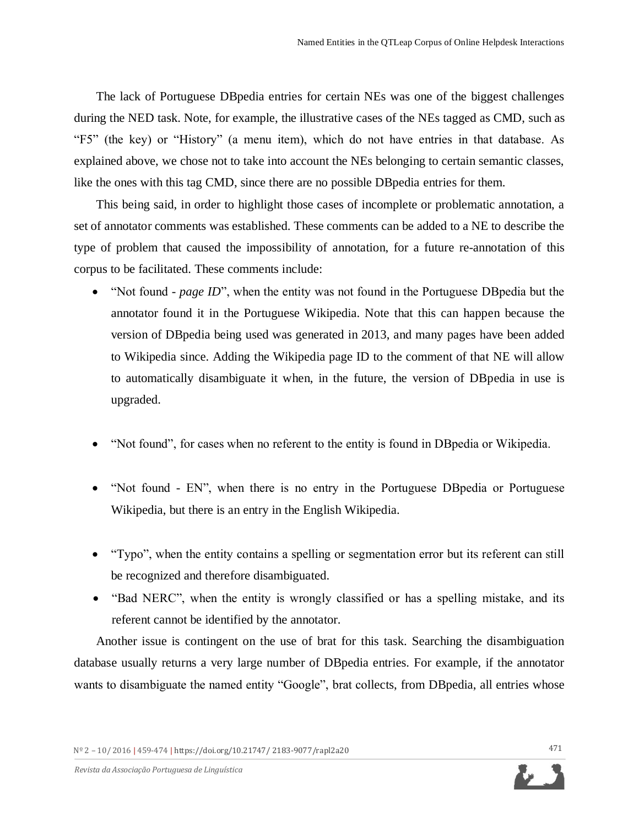The lack of Portuguese DBpedia entries for certain NEs was one of the biggest challenges during the NED task. Note, for example, the illustrative cases of the NEs tagged as CMD, such as "F5" (the key) or "History" (a menu item), which do not have entries in that database. As explained above, we chose not to take into account the NEs belonging to certain semantic classes, like the ones with this tag CMD, since there are no possible DBpedia entries for them.

This being said, in order to highlight those cases of incomplete or problematic annotation, a set of annotator comments was established. These comments can be added to a NE to describe the type of problem that caused the impossibility of annotation, for a future re-annotation of this corpus to be facilitated. These comments include:

- "Not found *page ID*", when the entity was not found in the Portuguese DBpedia but the annotator found it in the Portuguese Wikipedia. Note that this can happen because the version of DBpedia being used was generated in 2013, and many pages have been added to Wikipedia since. Adding the Wikipedia page ID to the comment of that NE will allow to automatically disambiguate it when, in the future, the version of DBpedia in use is upgraded.
- "Not found", for cases when no referent to the entity is found in DBpedia or Wikipedia.
- "Not found EN", when there is no entry in the Portuguese DBpedia or Portuguese Wikipedia, but there is an entry in the English Wikipedia.
- "Typo", when the entity contains a spelling or segmentation error but its referent can still be recognized and therefore disambiguated.
- "Bad NERC", when the entity is wrongly classified or has a spelling mistake, and its referent cannot be identified by the annotator.

Another issue is contingent on the use of brat for this task. Searching the disambiguation database usually returns a very large number of DBpedia entries. For example, if the annotator wants to disambiguate the named entity "Google", brat collects, from DB pedia, all entries whose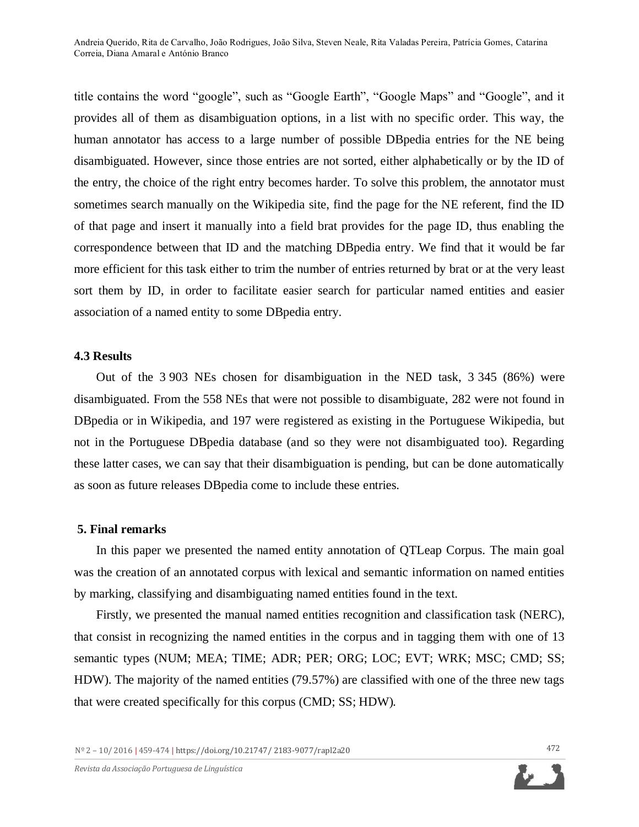title contains the word "google", such as "Google Earth", "Google Maps" and "Google", and it provides all of them as disambiguation options, in a list with no specific order. This way, the human annotator has access to a large number of possible DBpedia entries for the NE being disambiguated. However, since those entries are not sorted, either alphabetically or by the ID of the entry, the choice of the right entry becomes harder. To solve this problem, the annotator must sometimes search manually on the Wikipedia site, find the page for the NE referent, find the ID of that page and insert it manually into a field brat provides for the page ID, thus enabling the correspondence between that ID and the matching DBpedia entry. We find that it would be far more efficient for this task either to trim the number of entries returned by brat or at the very least sort them by ID, in order to facilitate easier search for particular named entities and easier association of a named entity to some DBpedia entry.

#### **4.3 Results**

Out of the 3 903 NEs chosen for disambiguation in the NED task, 3 345 (86%) were disambiguated. From the 558 NEs that were not possible to disambiguate, 282 were not found in DBpedia or in Wikipedia, and 197 were registered as existing in the Portuguese Wikipedia, but not in the Portuguese DBpedia database (and so they were not disambiguated too). Regarding these latter cases, we can say that their disambiguation is pending, but can be done automatically as soon as future releases DBpedia come to include these entries.

#### **5. Final remarks**

In this paper we presented the named entity annotation of QTLeap Corpus. The main goal was the creation of an annotated corpus with lexical and semantic information on named entities by marking, classifying and disambiguating named entities found in the text.

Firstly, we presented the manual named entities recognition and classification task (NERC), that consist in recognizing the named entities in the corpus and in tagging them with one of 13 semantic types (NUM; MEA; TIME; ADR; PER; ORG; LOC; EVT; WRK; MSC; CMD; SS; HDW). The majority of the named entities (79.57%) are classified with one of the three new tags that were created specifically for this corpus (CMD; SS; HDW).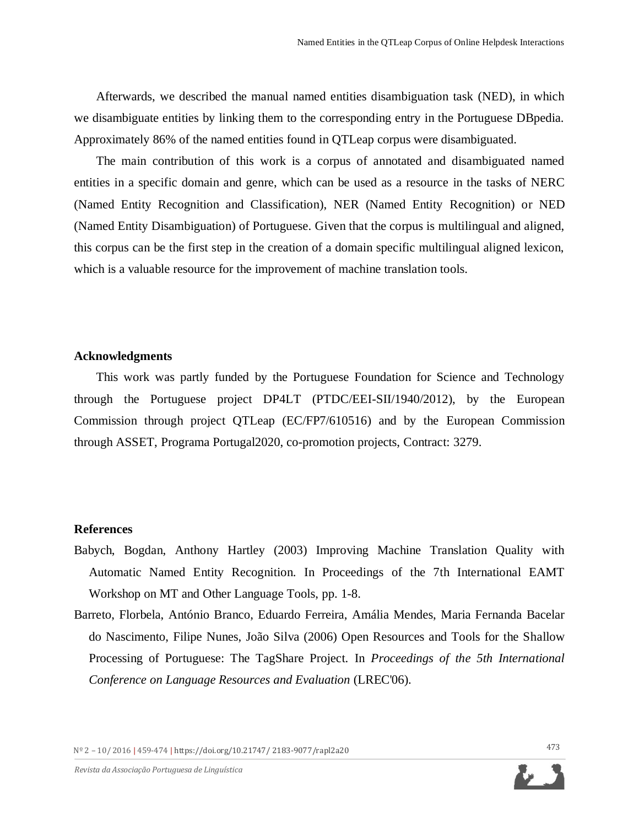Afterwards, we described the manual named entities disambiguation task (NED), in which we disambiguate entities by linking them to the corresponding entry in the Portuguese DBpedia. Approximately 86% of the named entities found in QTLeap corpus were disambiguated.

The main contribution of this work is a corpus of annotated and disambiguated named entities in a specific domain and genre, which can be used as a resource in the tasks of NERC (Named Entity Recognition and Classification), NER (Named Entity Recognition) or NED (Named Entity Disambiguation) of Portuguese. Given that the corpus is multilingual and aligned, this corpus can be the first step in the creation of a domain specific multilingual aligned lexicon, which is a valuable resource for the improvement of machine translation tools.

### **Acknowledgments**

This work was partly funded by the Portuguese Foundation for Science and Technology through the Portuguese project DP4LT (PTDC/EEI-SII/1940/2012), by the European Commission through project QTLeap (EC/FP7/610516) and by the European Commission through ASSET, Programa Portugal2020, co-promotion projects, Contract: 3279.

## **References**

- Babych, Bogdan, Anthony Hartley (2003) Improving Machine Translation Quality with Automatic Named Entity Recognition. In Proceedings of the 7th International EAMT Workshop on MT and Other Language Tools, pp. 1-8.
- Barreto, Florbela, António Branco, Eduardo Ferreira, Amália Mendes, Maria Fernanda Bacelar do Nascimento, Filipe Nunes, João Silva (2006) Open Resources and Tools for the Shallow Processing of Portuguese: The TagShare Project. In *Proceedings of the 5th International Conference on Language Resources and Evaluation* (LREC'06).